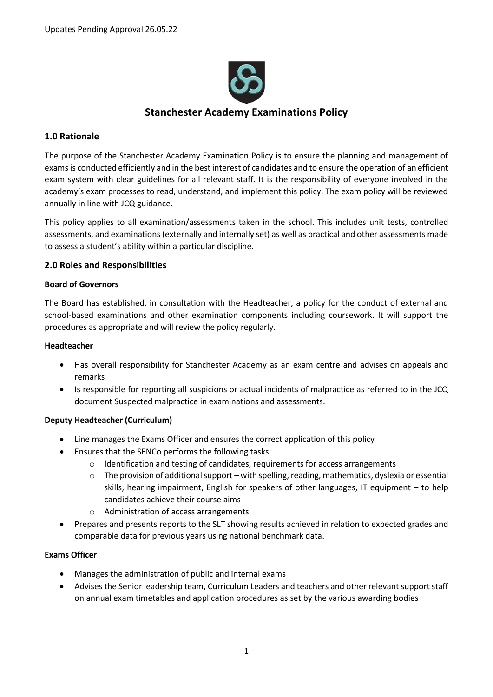

# **Stanchester Academy Examinations Policy**

# **1.0 Rationale**

The purpose of the Stanchester Academy Examination Policy is to ensure the planning and management of exams is conducted efficiently and in the best interest of candidates and to ensure the operation of an efficient exam system with clear guidelines for all relevant staff. It is the responsibility of everyone involved in the academy's exam processes to read, understand, and implement this policy. The exam policy will be reviewed annually in line with JCQ guidance.

This policy applies to all examination/assessments taken in the school. This includes unit tests, controlled assessments, and examinations (externally and internally set) as well as practical and other assessments made to assess a student's ability within a particular discipline.

# **2.0 Roles and Responsibilities**

#### **Board of Governors**

The Board has established, in consultation with the Headteacher, a policy for the conduct of external and school-based examinations and other examination components including coursework. It will support the procedures as appropriate and will review the policy regularly.

#### **Headteacher**

- Has overall responsibility for Stanchester Academy as an exam centre and advises on appeals and remarks
- Is responsible for reporting all suspicions or actual incidents of malpractice as referred to in the JCQ document Suspected malpractice in examinations and assessments.

# **Deputy Headteacher (Curriculum)**

- Line manages the Exams Officer and ensures the correct application of this policy
- Ensures that the SENCo performs the following tasks:
	- o Identification and testing of candidates, requirements for access arrangements
	- $\circ$  The provision of additional support with spelling, reading, mathematics, dyslexia or essential skills, hearing impairment, English for speakers of other languages, IT equipment – to help candidates achieve their course aims
	- o Administration of access arrangements
- Prepares and presents reports to the SLT showing results achieved in relation to expected grades and comparable data for previous years using national benchmark data.

# **Exams Officer**

- Manages the administration of public and internal exams
- Advises the Senior leadership team, Curriculum Leaders and teachers and other relevant support staff on annual exam timetables and application procedures as set by the various awarding bodies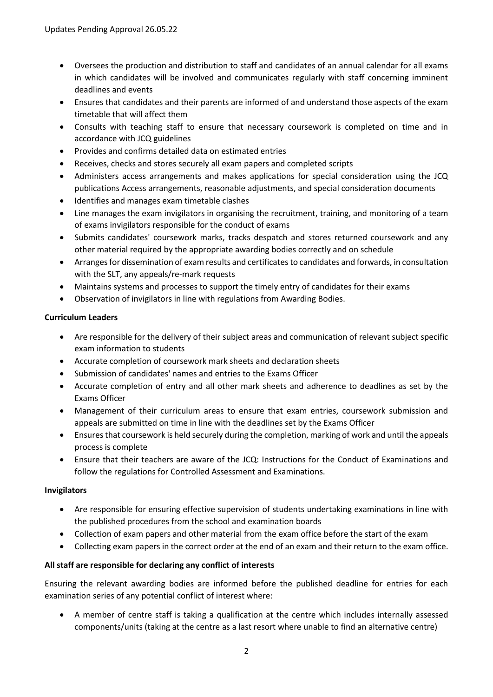- Oversees the production and distribution to staff and candidates of an annual calendar for all exams in which candidates will be involved and communicates regularly with staff concerning imminent deadlines and events
- Ensures that candidates and their parents are informed of and understand those aspects of the exam timetable that will affect them
- Consults with teaching staff to ensure that necessary coursework is completed on time and in accordance with JCQ guidelines
- Provides and confirms detailed data on estimated entries
- Receives, checks and stores securely all exam papers and completed scripts
- Administers access arrangements and makes applications for special consideration using the JCQ publications Access arrangements, reasonable adjustments, and special consideration documents
- Identifies and manages exam timetable clashes
- Line manages the exam invigilators in organising the recruitment, training, and monitoring of a team of exams invigilators responsible for the conduct of exams
- Submits candidates' coursework marks, tracks despatch and stores returned coursework and any other material required by the appropriate awarding bodies correctly and on schedule
- Arranges for dissemination of exam results and certificates to candidates and forwards, in consultation with the SLT, any appeals/re-mark requests
- Maintains systems and processes to support the timely entry of candidates for their exams
- Observation of invigilators in line with regulations from Awarding Bodies.

# **Curriculum Leaders**

- Are responsible for the delivery of their subject areas and communication of relevant subject specific exam information to students
- Accurate completion of coursework mark sheets and declaration sheets
- Submission of candidates' names and entries to the Exams Officer
- Accurate completion of entry and all other mark sheets and adherence to deadlines as set by the Exams Officer
- Management of their curriculum areas to ensure that exam entries, coursework submission and appeals are submitted on time in line with the deadlines set by the Exams Officer
- Ensures that coursework is held securely during the completion, marking of work and until the appeals process is complete
- Ensure that their teachers are aware of the JCQ: Instructions for the Conduct of Examinations and follow the regulations for Controlled Assessment and Examinations.

# **Invigilators**

- Are responsible for ensuring effective supervision of students undertaking examinations in line with the published procedures from the school and examination boards
- Collection of exam papers and other material from the exam office before the start of the exam
- Collecting exam papers in the correct order at the end of an exam and their return to the exam office.

# **All staff are responsible for declaring any conflict of interests**

Ensuring the relevant awarding bodies are informed before the published deadline for entries for each examination series of any potential conflict of interest where:

 A member of centre staff is taking a qualification at the centre which includes internally assessed components/units (taking at the centre as a last resort where unable to find an alternative centre)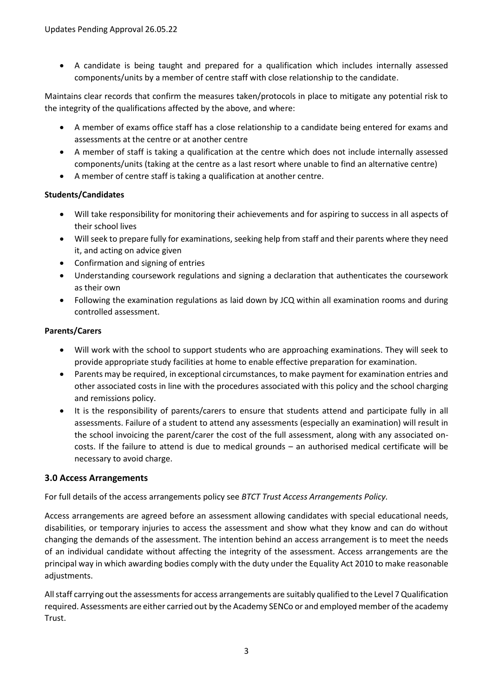A candidate is being taught and prepared for a qualification which includes internally assessed components/units by a member of centre staff with close relationship to the candidate.

Maintains clear records that confirm the measures taken/protocols in place to mitigate any potential risk to the integrity of the qualifications affected by the above, and where:

- A member of exams office staff has a close relationship to a candidate being entered for exams and assessments at the centre or at another centre
- A member of staff is taking a qualification at the centre which does not include internally assessed components/units (taking at the centre as a last resort where unable to find an alternative centre)
- A member of centre staff is taking a qualification at another centre.

# **Students/Candidates**

- Will take responsibility for monitoring their achievements and for aspiring to success in all aspects of their school lives
- Will seek to prepare fully for examinations, seeking help from staff and their parents where they need it, and acting on advice given
- Confirmation and signing of entries
- Understanding coursework regulations and signing a declaration that authenticates the coursework as their own
- Following the examination regulations as laid down by JCQ within all examination rooms and during controlled assessment.

# **Parents/Carers**

- Will work with the school to support students who are approaching examinations. They will seek to provide appropriate study facilities at home to enable effective preparation for examination.
- Parents may be required, in exceptional circumstances, to make payment for examination entries and other associated costs in line with the procedures associated with this policy and the school charging and remissions policy.
- It is the responsibility of parents/carers to ensure that students attend and participate fully in all assessments. Failure of a student to attend any assessments (especially an examination) will result in the school invoicing the parent/carer the cost of the full assessment, along with any associated oncosts. If the failure to attend is due to medical grounds – an authorised medical certificate will be necessary to avoid charge.

# **3.0 Access Arrangements**

For full details of the access arrangements policy see *BTCT Trust Access Arrangements Policy.*

Access arrangements are agreed before an assessment allowing candidates with special educational needs, disabilities, or temporary injuries to access the assessment and show what they know and can do without changing the demands of the assessment. The intention behind an access arrangement is to meet the needs of an individual candidate without affecting the integrity of the assessment. Access arrangements are the principal way in which awarding bodies comply with the duty under the Equality Act 2010 to make reasonable adjustments.

All staff carrying out the assessments for access arrangements are suitably qualified to the Level 7 Qualification required. Assessments are either carried out by the Academy SENCo or and employed member of the academy Trust.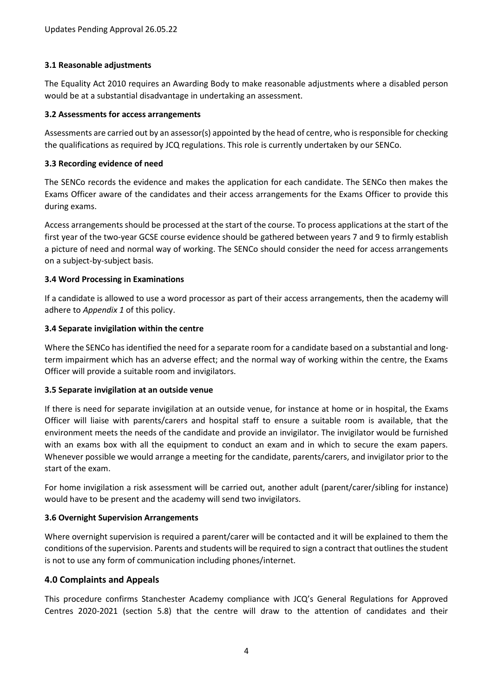# **3.1 Reasonable adjustments**

The Equality Act 2010 requires an Awarding Body to make reasonable adjustments where a disabled person would be at a substantial disadvantage in undertaking an assessment.

### **3.2 Assessments for access arrangements**

Assessments are carried out by an assessor(s) appointed by the head of centre, who is responsible for checking the qualifications as required by JCQ regulations. This role is currently undertaken by our SENCo.

#### **3.3 Recording evidence of need**

The SENCo records the evidence and makes the application for each candidate. The SENCo then makes the Exams Officer aware of the candidates and their access arrangements for the Exams Officer to provide this during exams.

Access arrangements should be processed at the start of the course. To process applications at the start of the first year of the two-year GCSE course evidence should be gathered between years 7 and 9 to firmly establish a picture of need and normal way of working. The SENCo should consider the need for access arrangements on a subject-by-subject basis.

#### **3.4 Word Processing in Examinations**

If a candidate is allowed to use a word processor as part of their access arrangements, then the academy will adhere to *Appendix 1* of this policy.

#### **3.4 Separate invigilation within the centre**

Where the SENCo has identified the need for a separate room for a candidate based on a substantial and longterm impairment which has an adverse effect; and the normal way of working within the centre, the Exams Officer will provide a suitable room and invigilators.

# **3.5 Separate invigilation at an outside venue**

If there is need for separate invigilation at an outside venue, for instance at home or in hospital, the Exams Officer will liaise with parents/carers and hospital staff to ensure a suitable room is available, that the environment meets the needs of the candidate and provide an invigilator. The invigilator would be furnished with an exams box with all the equipment to conduct an exam and in which to secure the exam papers. Whenever possible we would arrange a meeting for the candidate, parents/carers, and invigilator prior to the start of the exam.

For home invigilation a risk assessment will be carried out, another adult (parent/carer/sibling for instance) would have to be present and the academy will send two invigilators.

# **3.6 Overnight Supervision Arrangements**

Where overnight supervision is required a parent/carer will be contacted and it will be explained to them the conditions of the supervision. Parents and students will be required to sign a contract that outlines the student is not to use any form of communication including phones/internet.

# **4.0 Complaints and Appeals**

This procedure confirms Stanchester Academy compliance with JCQ's General Regulations for Approved Centres 2020-2021 (section 5.8) that the centre will draw to the attention of candidates and their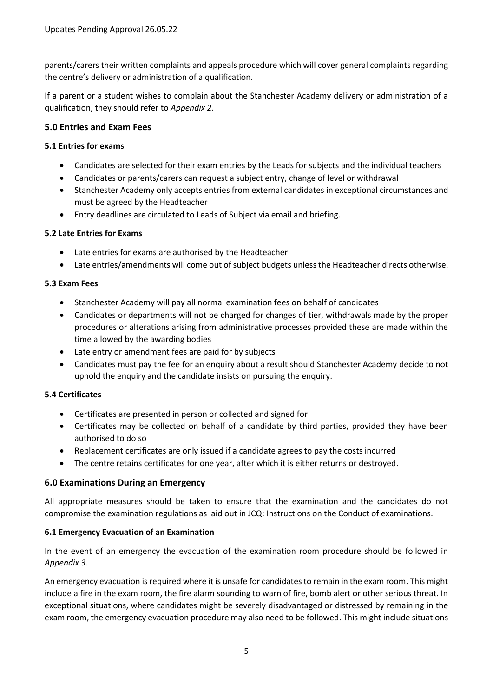parents/carers their written complaints and appeals procedure which will cover general complaints regarding the centre's delivery or administration of a qualification.

If a parent or a student wishes to complain about the Stanchester Academy delivery or administration of a qualification, they should refer to *Appendix 2*.

# **5.0 Entries and Exam Fees**

# **5.1 Entries for exams**

- Candidates are selected for their exam entries by the Leads for subjects and the individual teachers
- Candidates or parents/carers can request a subject entry, change of level or withdrawal
- Stanchester Academy only accepts entries from external candidates in exceptional circumstances and must be agreed by the Headteacher
- Entry deadlines are circulated to Leads of Subject via email and briefing.

# **5.2 Late Entries for Exams**

- Late entries for exams are authorised by the Headteacher
- Late entries/amendments will come out of subject budgets unless the Headteacher directs otherwise.

# **5.3 Exam Fees**

- Stanchester Academy will pay all normal examination fees on behalf of candidates
- Candidates or departments will not be charged for changes of tier, withdrawals made by the proper procedures or alterations arising from administrative processes provided these are made within the time allowed by the awarding bodies
- Late entry or amendment fees are paid for by subjects
- Candidates must pay the fee for an enquiry about a result should Stanchester Academy decide to not uphold the enquiry and the candidate insists on pursuing the enquiry.

# **5.4 Certificates**

- Certificates are presented in person or collected and signed for
- Certificates may be collected on behalf of a candidate by third parties, provided they have been authorised to do so
- Replacement certificates are only issued if a candidate agrees to pay the costs incurred
- The centre retains certificates for one year, after which it is either returns or destroyed.

# **6.0 Examinations During an Emergency**

All appropriate measures should be taken to ensure that the examination and the candidates do not compromise the examination regulations as laid out in JCQ: Instructions on the Conduct of examinations.

# **6.1 Emergency Evacuation of an Examination**

In the event of an emergency the evacuation of the examination room procedure should be followed in *Appendix 3*.

An emergency evacuation is required where it is unsafe for candidates to remain in the exam room. This might include a fire in the exam room, the fire alarm sounding to warn of fire, bomb alert or other serious threat. In exceptional situations, where candidates might be severely disadvantaged or distressed by remaining in the exam room, the emergency evacuation procedure may also need to be followed. This might include situations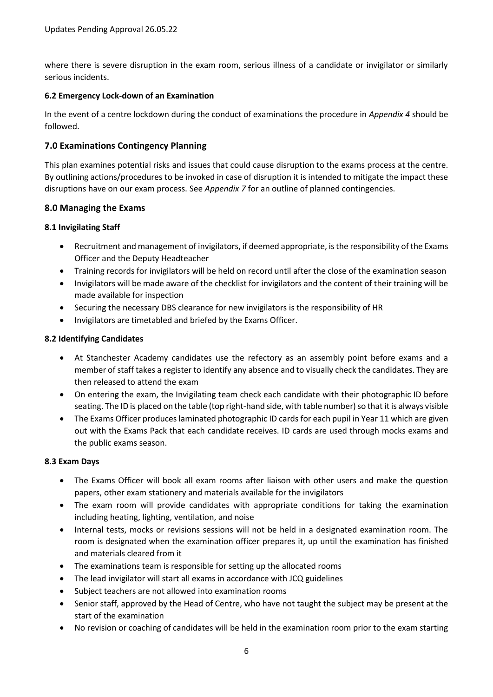where there is severe disruption in the exam room, serious illness of a candidate or invigilator or similarly serious incidents.

### **6.2 Emergency Lock-down of an Examination**

In the event of a centre lockdown during the conduct of examinations the procedure in *Appendix 4* should be followed.

# **7.0 Examinations Contingency Planning**

This plan examines potential risks and issues that could cause disruption to the exams process at the centre. By outlining actions/procedures to be invoked in case of disruption it is intended to mitigate the impact these disruptions have on our exam process. See *Appendix 7* for an outline of planned contingencies.

#### **8.0 Managing the Exams**

#### **8.1 Invigilating Staff**

- Recruitment and management of invigilators, if deemed appropriate, is the responsibility of the Exams Officer and the Deputy Headteacher
- Training records for invigilators will be held on record until after the close of the examination season
- Invigilators will be made aware of the checklist for invigilators and the content of their training will be made available for inspection
- Securing the necessary DBS clearance for new invigilators is the responsibility of HR
- Invigilators are timetabled and briefed by the Exams Officer.

#### **8.2 Identifying Candidates**

- At Stanchester Academy candidates use the refectory as an assembly point before exams and a member of staff takes a register to identify any absence and to visually check the candidates. They are then released to attend the exam
- On entering the exam, the Invigilating team check each candidate with their photographic ID before seating. The ID is placed on the table (top right-hand side, with table number) so that it is always visible
- The Exams Officer produces laminated photographic ID cards for each pupil in Year 11 which are given out with the Exams Pack that each candidate receives. ID cards are used through mocks exams and the public exams season.

#### **8.3 Exam Days**

- The Exams Officer will book all exam rooms after liaison with other users and make the question papers, other exam stationery and materials available for the invigilators
- The exam room will provide candidates with appropriate conditions for taking the examination including heating, lighting, ventilation, and noise
- Internal tests, mocks or revisions sessions will not be held in a designated examination room. The room is designated when the examination officer prepares it, up until the examination has finished and materials cleared from it
- The examinations team is responsible for setting up the allocated rooms
- The lead invigilator will start all exams in accordance with JCQ guidelines
- Subject teachers are not allowed into examination rooms
- Senior staff, approved by the Head of Centre, who have not taught the subject may be present at the start of the examination
- No revision or coaching of candidates will be held in the examination room prior to the exam starting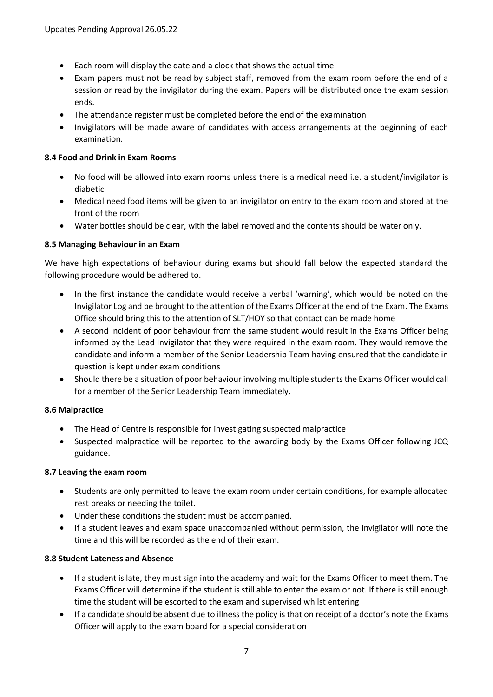- Each room will display the date and a clock that shows the actual time
- Exam papers must not be read by subject staff, removed from the exam room before the end of a session or read by the invigilator during the exam. Papers will be distributed once the exam session ends.
- The attendance register must be completed before the end of the examination
- Invigilators will be made aware of candidates with access arrangements at the beginning of each examination.

# **8.4 Food and Drink in Exam Rooms**

- No food will be allowed into exam rooms unless there is a medical need i.e. a student/invigilator is diabetic
- Medical need food items will be given to an invigilator on entry to the exam room and stored at the front of the room
- Water bottles should be clear, with the label removed and the contents should be water only.

# **8.5 Managing Behaviour in an Exam**

We have high expectations of behaviour during exams but should fall below the expected standard the following procedure would be adhered to.

- In the first instance the candidate would receive a verbal 'warning', which would be noted on the Invigilator Log and be brought to the attention of the Exams Officer at the end of the Exam. The Exams Office should bring this to the attention of SLT/HOY so that contact can be made home
- A second incident of poor behaviour from the same student would result in the Exams Officer being informed by the Lead Invigilator that they were required in the exam room. They would remove the candidate and inform a member of the Senior Leadership Team having ensured that the candidate in question is kept under exam conditions
- Should there be a situation of poor behaviour involving multiple students the Exams Officer would call for a member of the Senior Leadership Team immediately.

# **8.6 Malpractice**

- The Head of Centre is responsible for investigating suspected malpractice
- Suspected malpractice will be reported to the awarding body by the Exams Officer following JCQ guidance.

# **8.7 Leaving the exam room**

- Students are only permitted to leave the exam room under certain conditions, for example allocated rest breaks or needing the toilet.
- Under these conditions the student must be accompanied.
- If a student leaves and exam space unaccompanied without permission, the invigilator will note the time and this will be recorded as the end of their exam.

# **8.8 Student Lateness and Absence**

- If a student is late, they must sign into the academy and wait for the Exams Officer to meet them. The Exams Officer will determine if the student is still able to enter the exam or not. If there is still enough time the student will be escorted to the exam and supervised whilst entering
- If a candidate should be absent due to illness the policy is that on receipt of a doctor's note the Exams Officer will apply to the exam board for a special consideration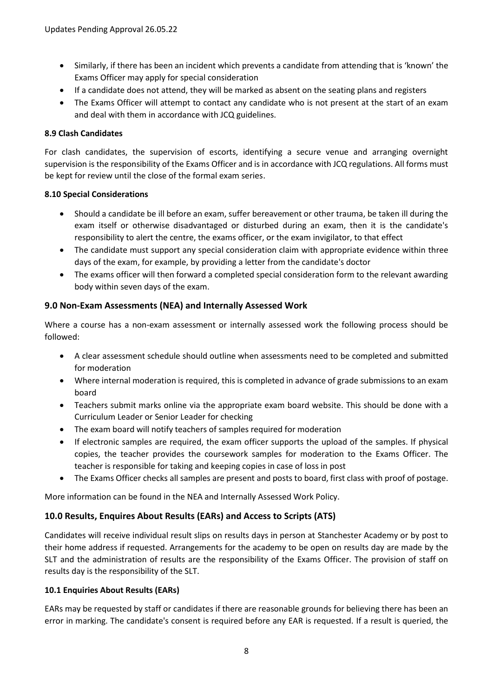- Similarly, if there has been an incident which prevents a candidate from attending that is 'known' the Exams Officer may apply for special consideration
- If a candidate does not attend, they will be marked as absent on the seating plans and registers
- The Exams Officer will attempt to contact any candidate who is not present at the start of an exam and deal with them in accordance with JCQ guidelines.

# **8.9 Clash Candidates**

For clash candidates, the supervision of escorts, identifying a secure venue and arranging overnight supervision is the responsibility of the Exams Officer and is in accordance with JCQ regulations. All forms must be kept for review until the close of the formal exam series.

# **8.10 Special Considerations**

- Should a candidate be ill before an exam, suffer bereavement or other trauma, be taken ill during the exam itself or otherwise disadvantaged or disturbed during an exam, then it is the candidate's responsibility to alert the centre, the exams officer, or the exam invigilator, to that effect
- The candidate must support any special consideration claim with appropriate evidence within three days of the exam, for example, by providing a letter from the candidate's doctor
- The exams officer will then forward a completed special consideration form to the relevant awarding body within seven days of the exam.

# **9.0 Non-Exam Assessments (NEA) and Internally Assessed Work**

Where a course has a non-exam assessment or internally assessed work the following process should be followed:

- A clear assessment schedule should outline when assessments need to be completed and submitted for moderation
- Where internal moderation is required, this is completed in advance of grade submissions to an exam board
- Teachers submit marks online via the appropriate exam board website. This should be done with a Curriculum Leader or Senior Leader for checking
- The exam board will notify teachers of samples required for moderation
- If electronic samples are required, the exam officer supports the upload of the samples. If physical copies, the teacher provides the coursework samples for moderation to the Exams Officer. The teacher is responsible for taking and keeping copies in case of loss in post
- The Exams Officer checks all samples are present and posts to board, first class with proof of postage.

More information can be found in the NEA and Internally Assessed Work Policy.

# **10.0 Results, Enquires About Results (EARs) and Access to Scripts (ATS)**

Candidates will receive individual result slips on results days in person at Stanchester Academy or by post to their home address if requested. Arrangements for the academy to be open on results day are made by the SLT and the administration of results are the responsibility of the Exams Officer. The provision of staff on results day is the responsibility of the SLT.

# **10.1 Enquiries About Results (EARs)**

EARs may be requested by staff or candidates if there are reasonable grounds for believing there has been an error in marking. The candidate's consent is required before any EAR is requested. If a result is queried, the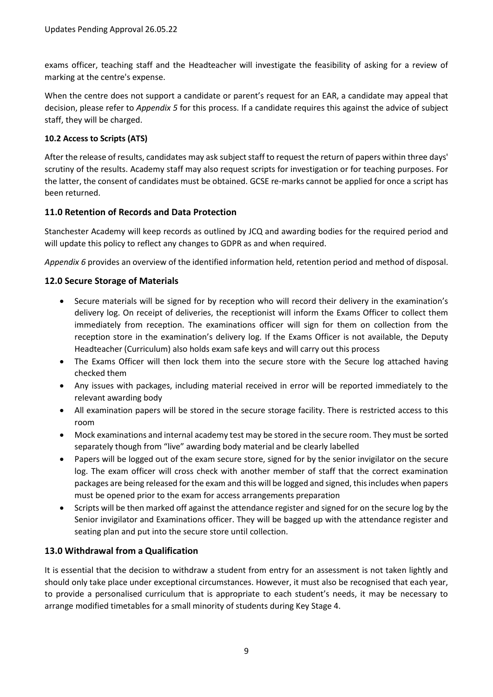exams officer, teaching staff and the Headteacher will investigate the feasibility of asking for a review of marking at the centre's expense.

When the centre does not support a candidate or parent's request for an EAR, a candidate may appeal that decision, please refer to *Appendix 5* for this process. If a candidate requires this against the advice of subject staff, they will be charged.

# **10.2 Access to Scripts (ATS)**

After the release of results, candidates may ask subject staff to request the return of papers within three days' scrutiny of the results. Academy staff may also request scripts for investigation or for teaching purposes. For the latter, the consent of candidates must be obtained. GCSE re-marks cannot be applied for once a script has been returned.

# **11.0 Retention of Records and Data Protection**

Stanchester Academy will keep records as outlined by JCQ and awarding bodies for the required period and will update this policy to reflect any changes to GDPR as and when required.

*Appendix 6* provides an overview of the identified information held, retention period and method of disposal.

# **12.0 Secure Storage of Materials**

- Secure materials will be signed for by reception who will record their delivery in the examination's delivery log. On receipt of deliveries, the receptionist will inform the Exams Officer to collect them immediately from reception. The examinations officer will sign for them on collection from the reception store in the examination's delivery log. If the Exams Officer is not available, the Deputy Headteacher (Curriculum) also holds exam safe keys and will carry out this process
- The Exams Officer will then lock them into the secure store with the Secure log attached having checked them
- Any issues with packages, including material received in error will be reported immediately to the relevant awarding body
- All examination papers will be stored in the secure storage facility. There is restricted access to this room
- Mock examinations and internal academy test may be stored in the secure room. They must be sorted separately though from "live" awarding body material and be clearly labelled
- Papers will be logged out of the exam secure store, signed for by the senior invigilator on the secure log. The exam officer will cross check with another member of staff that the correct examination packages are being released for the exam and this will be logged and signed, this includes when papers must be opened prior to the exam for access arrangements preparation
- Scripts will be then marked off against the attendance register and signed for on the secure log by the Senior invigilator and Examinations officer. They will be bagged up with the attendance register and seating plan and put into the secure store until collection.

# **13.0 Withdrawal from a Qualification**

It is essential that the decision to withdraw a student from entry for an assessment is not taken lightly and should only take place under exceptional circumstances. However, it must also be recognised that each year, to provide a personalised curriculum that is appropriate to each student's needs, it may be necessary to arrange modified timetables for a small minority of students during Key Stage 4.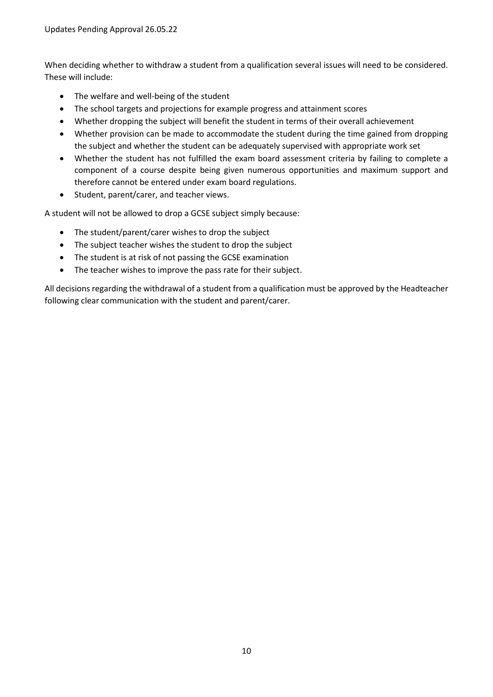When deciding whether to withdraw a student from a qualification several issues will need to be considered. These will include:

- The welfare and well-being of the student
- The school targets and projections for example progress and attainment scores
- Whether dropping the subject will benefit the student in terms of their overall achievement
- Whether provision can be made to accommodate the student during the time gained from dropping the subject and whether the student can be adequately supervised with appropriate work set
- Whether the student has not fulfilled the exam board assessment criteria by failing to complete a component of a course despite being given numerous opportunities and maximum support and therefore cannot be entered under exam board regulations.
- Student, parent/carer, and teacher views.

A student will not be allowed to drop a GCSE subject simply because:

- The student/parent/carer wishes to drop the subject
- The subject teacher wishes the student to drop the subject
- The student is at risk of not passing the GCSE examination
- The teacher wishes to improve the pass rate for their subject.

All decisions regarding the withdrawal of a student from a qualification must be approved by the Headteacher following clear communication with the student and parent/carer.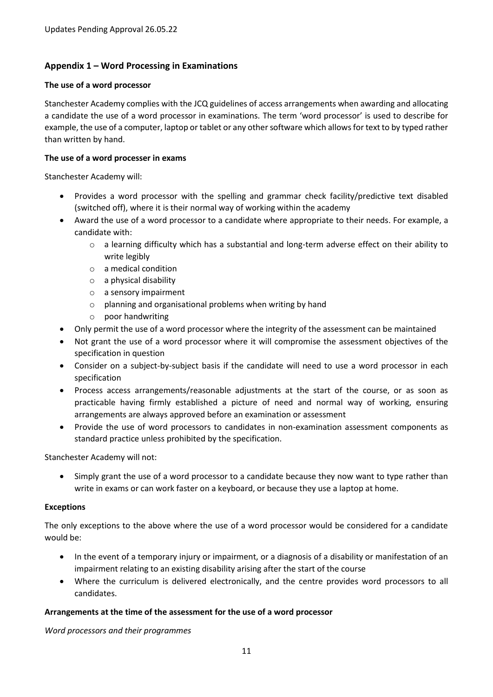# **Appendix 1 – Word Processing in Examinations**

#### **The use of a word processor**

Stanchester Academy complies with the JCQ guidelines of access arrangements when awarding and allocating a candidate the use of a word processor in examinations. The term 'word processor' is used to describe for example, the use of a computer, laptop or tablet or any other software which allows for text to by typed rather than written by hand.

### **The use of a word processer in exams**

Stanchester Academy will:

- Provides a word processor with the spelling and grammar check facility/predictive text disabled (switched off), where it is their normal way of working within the academy
- Award the use of a word processor to a candidate where appropriate to their needs. For example, a candidate with:
	- o a learning difficulty which has a substantial and long-term adverse effect on their ability to write legibly
	- o a medical condition
	- o a physical disability
	- o a sensory impairment
	- o planning and organisational problems when writing by hand
	- o poor handwriting
- Only permit the use of a word processor where the integrity of the assessment can be maintained
- Not grant the use of a word processor where it will compromise the assessment objectives of the specification in question
- Consider on a subject-by-subject basis if the candidate will need to use a word processor in each specification
- Process access arrangements/reasonable adjustments at the start of the course, or as soon as practicable having firmly established a picture of need and normal way of working, ensuring arrangements are always approved before an examination or assessment
- Provide the use of word processors to candidates in non-examination assessment components as standard practice unless prohibited by the specification.

Stanchester Academy will not:

 Simply grant the use of a word processor to a candidate because they now want to type rather than write in exams or can work faster on a keyboard, or because they use a laptop at home.

#### **Exceptions**

The only exceptions to the above where the use of a word processor would be considered for a candidate would be:

- In the event of a temporary injury or impairment, or a diagnosis of a disability or manifestation of an impairment relating to an existing disability arising after the start of the course
- Where the curriculum is delivered electronically, and the centre provides word processors to all candidates.

# **Arrangements at the time of the assessment for the use of a word processor**

*Word processors and their programmes*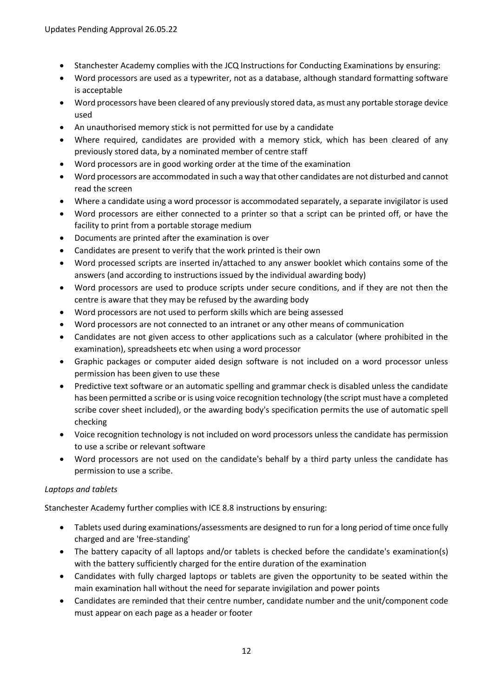- Stanchester Academy complies with the JCQ Instructions for Conducting Examinations by ensuring:
- Word processors are used as a typewriter, not as a database, although standard formatting software is acceptable
- Word processors have been cleared of any previously stored data, as must any portable storage device used
- An unauthorised memory stick is not permitted for use by a candidate
- Where required, candidates are provided with a memory stick, which has been cleared of any previously stored data, by a nominated member of centre staff
- Word processors are in good working order at the time of the examination
- Word processors are accommodated in such a way that other candidates are not disturbed and cannot read the screen
- Where a candidate using a word processor is accommodated separately, a separate invigilator is used
- Word processors are either connected to a printer so that a script can be printed off, or have the facility to print from a portable storage medium
- Documents are printed after the examination is over
- Candidates are present to verify that the work printed is their own
- Word processed scripts are inserted in/attached to any answer booklet which contains some of the answers (and according to instructions issued by the individual awarding body)
- Word processors are used to produce scripts under secure conditions, and if they are not then the centre is aware that they may be refused by the awarding body
- Word processors are not used to perform skills which are being assessed
- Word processors are not connected to an intranet or any other means of communication
- Candidates are not given access to other applications such as a calculator (where prohibited in the examination), spreadsheets etc when using a word processor
- Graphic packages or computer aided design software is not included on a word processor unless permission has been given to use these
- Predictive text software or an automatic spelling and grammar check is disabled unless the candidate has been permitted a scribe or is using voice recognition technology (the script must have a completed scribe cover sheet included), or the awarding body's specification permits the use of automatic spell checking
- Voice recognition technology is not included on word processors unless the candidate has permission to use a scribe or relevant software
- Word processors are not used on the candidate's behalf by a third party unless the candidate has permission to use a scribe.

# *Laptops and tablets*

Stanchester Academy further complies with ICE 8.8 instructions by ensuring:

- Tablets used during examinations/assessments are designed to run for a long period of time once fully charged and are 'free-standing'
- The battery capacity of all laptops and/or tablets is checked before the candidate's examination(s) with the battery sufficiently charged for the entire duration of the examination
- Candidates with fully charged laptops or tablets are given the opportunity to be seated within the main examination hall without the need for separate invigilation and power points
- Candidates are reminded that their centre number, candidate number and the unit/component code must appear on each page as a header or footer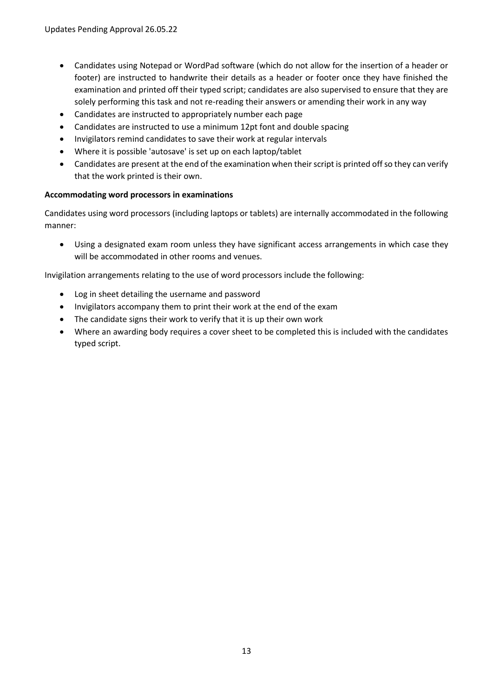- Candidates using Notepad or WordPad software (which do not allow for the insertion of a header or footer) are instructed to handwrite their details as a header or footer once they have finished the examination and printed off their typed script; candidates are also supervised to ensure that they are solely performing this task and not re-reading their answers or amending their work in any way
- Candidates are instructed to appropriately number each page
- Candidates are instructed to use a minimum 12pt font and double spacing
- Invigilators remind candidates to save their work at regular intervals
- Where it is possible 'autosave' is set up on each laptop/tablet
- Candidates are present at the end of the examination when their script is printed off so they can verify that the work printed is their own.

# **Accommodating word processors in examinations**

Candidates using word processors (including laptops or tablets) are internally accommodated in the following manner:

 Using a designated exam room unless they have significant access arrangements in which case they will be accommodated in other rooms and venues.

Invigilation arrangements relating to the use of word processors include the following:

- Log in sheet detailing the username and password
- Invigilators accompany them to print their work at the end of the exam
- The candidate signs their work to verify that it is up their own work
- Where an awarding body requires a cover sheet to be completed this is included with the candidates typed script.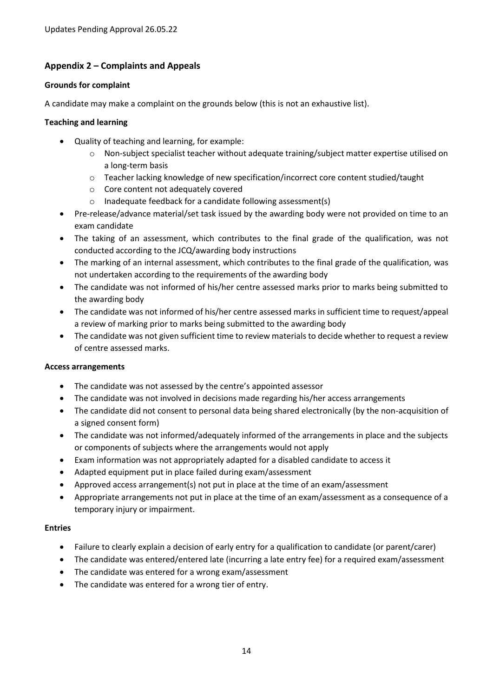# **Appendix 2 – Complaints and Appeals**

#### **Grounds for complaint**

A candidate may make a complaint on the grounds below (this is not an exhaustive list).

#### **Teaching and learning**

- Quality of teaching and learning, for example:
	- o Non-subject specialist teacher without adequate training/subject matter expertise utilised on a long-term basis
	- o Teacher lacking knowledge of new specification/incorrect core content studied/taught
	- o Core content not adequately covered
	- o Inadequate feedback for a candidate following assessment(s)
- Pre-release/advance material/set task issued by the awarding body were not provided on time to an exam candidate
- The taking of an assessment, which contributes to the final grade of the qualification, was not conducted according to the JCQ/awarding body instructions
- The marking of an internal assessment, which contributes to the final grade of the qualification, was not undertaken according to the requirements of the awarding body
- The candidate was not informed of his/her centre assessed marks prior to marks being submitted to the awarding body
- The candidate was not informed of his/her centre assessed marks in sufficient time to request/appeal a review of marking prior to marks being submitted to the awarding body
- The candidate was not given sufficient time to review materials to decide whether to request a review of centre assessed marks.

# **Access arrangements**

- The candidate was not assessed by the centre's appointed assessor
- The candidate was not involved in decisions made regarding his/her access arrangements
- The candidate did not consent to personal data being shared electronically (by the non-acquisition of a signed consent form)
- The candidate was not informed/adequately informed of the arrangements in place and the subjects or components of subjects where the arrangements would not apply
- Exam information was not appropriately adapted for a disabled candidate to access it
- Adapted equipment put in place failed during exam/assessment
- Approved access arrangement(s) not put in place at the time of an exam/assessment
- Appropriate arrangements not put in place at the time of an exam/assessment as a consequence of a temporary injury or impairment.

# **Entries**

- Failure to clearly explain a decision of early entry for a qualification to candidate (or parent/carer)
- The candidate was entered/entered late (incurring a late entry fee) for a required exam/assessment
- The candidate was entered for a wrong exam/assessment
- The candidate was entered for a wrong tier of entry.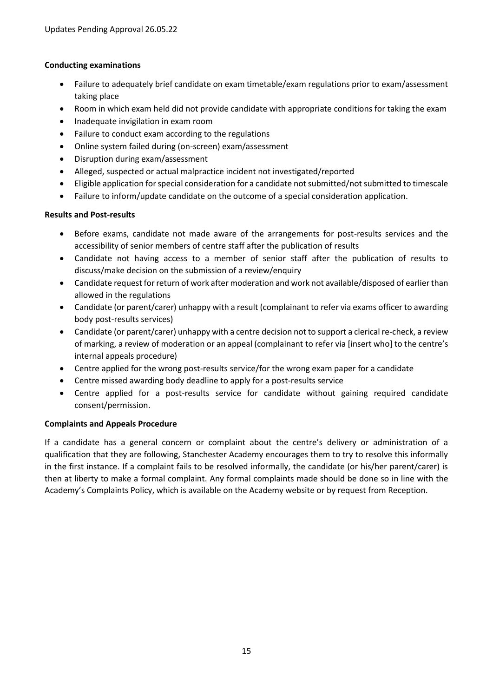# **Conducting examinations**

- Failure to adequately brief candidate on exam timetable/exam regulations prior to exam/assessment taking place
- Room in which exam held did not provide candidate with appropriate conditions for taking the exam
- Inadequate invigilation in exam room
- Failure to conduct exam according to the regulations
- Online system failed during (on-screen) exam/assessment
- Disruption during exam/assessment
- Alleged, suspected or actual malpractice incident not investigated/reported
- Eligible application for special consideration for a candidate not submitted/not submitted to timescale
- Failure to inform/update candidate on the outcome of a special consideration application.

# **Results and Post-results**

- Before exams, candidate not made aware of the arrangements for post-results services and the accessibility of senior members of centre staff after the publication of results
- Candidate not having access to a member of senior staff after the publication of results to discuss/make decision on the submission of a review/enquiry
- Candidate request for return of work after moderation and work not available/disposed of earlier than allowed in the regulations
- Candidate (or parent/carer) unhappy with a result (complainant to refer via exams officer to awarding body post-results services)
- Candidate (or parent/carer) unhappy with a centre decision not to support a clerical re-check, a review of marking, a review of moderation or an appeal (complainant to refer via [insert who] to the centre's internal appeals procedure)
- Centre applied for the wrong post-results service/for the wrong exam paper for a candidate
- Centre missed awarding body deadline to apply for a post-results service
- Centre applied for a post-results service for candidate without gaining required candidate consent/permission.

# **Complaints and Appeals Procedure**

If a candidate has a general concern or complaint about the centre's delivery or administration of a qualification that they are following, Stanchester Academy encourages them to try to resolve this informally in the first instance. If a complaint fails to be resolved informally, the candidate (or his/her parent/carer) is then at liberty to make a formal complaint. Any formal complaints made should be done so in line with the Academy's Complaints Policy, which is available on the Academy website or by request from Reception.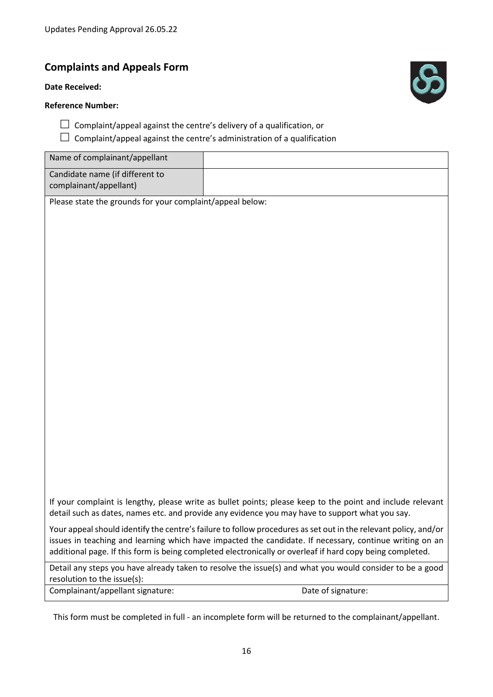# **Complaints and Appeals Form**

#### **Date Received:**

# **Reference Number:**



- $\Box$  Complaint/appeal against the centre's delivery of a qualification, or
- $\Box$  Complaint/appeal against the centre's administration of a qualification

| Name of complainant/appellant                             |                                                                                                                                                                                                                                                                                                                                         |
|-----------------------------------------------------------|-----------------------------------------------------------------------------------------------------------------------------------------------------------------------------------------------------------------------------------------------------------------------------------------------------------------------------------------|
| Candidate name (if different to<br>complainant/appellant) |                                                                                                                                                                                                                                                                                                                                         |
| Please state the grounds for your complaint/appeal below: |                                                                                                                                                                                                                                                                                                                                         |
|                                                           |                                                                                                                                                                                                                                                                                                                                         |
|                                                           |                                                                                                                                                                                                                                                                                                                                         |
|                                                           |                                                                                                                                                                                                                                                                                                                                         |
|                                                           |                                                                                                                                                                                                                                                                                                                                         |
|                                                           |                                                                                                                                                                                                                                                                                                                                         |
|                                                           |                                                                                                                                                                                                                                                                                                                                         |
|                                                           |                                                                                                                                                                                                                                                                                                                                         |
|                                                           |                                                                                                                                                                                                                                                                                                                                         |
|                                                           |                                                                                                                                                                                                                                                                                                                                         |
|                                                           |                                                                                                                                                                                                                                                                                                                                         |
|                                                           |                                                                                                                                                                                                                                                                                                                                         |
|                                                           |                                                                                                                                                                                                                                                                                                                                         |
|                                                           |                                                                                                                                                                                                                                                                                                                                         |
|                                                           |                                                                                                                                                                                                                                                                                                                                         |
|                                                           |                                                                                                                                                                                                                                                                                                                                         |
|                                                           |                                                                                                                                                                                                                                                                                                                                         |
|                                                           |                                                                                                                                                                                                                                                                                                                                         |
|                                                           |                                                                                                                                                                                                                                                                                                                                         |
|                                                           | If your complaint is lengthy, please write as bullet points; please keep to the point and include relevant<br>detail such as dates, names etc. and provide any evidence you may have to support what you say.                                                                                                                           |
|                                                           | Your appeal should identify the centre's failure to follow procedures as set out in the relevant policy, and/or<br>issues in teaching and learning which have impacted the candidate. If necessary, continue writing on an<br>additional page. If this form is being completed electronically or overleaf if hard copy being completed. |
| resolution to the issue(s):                               | Detail any steps you have already taken to resolve the issue(s) and what you would consider to be a good                                                                                                                                                                                                                                |
| Complainant/appellant signature:                          | Date of signature:                                                                                                                                                                                                                                                                                                                      |

This form must be completed in full - an incomplete form will be returned to the complainant/appellant.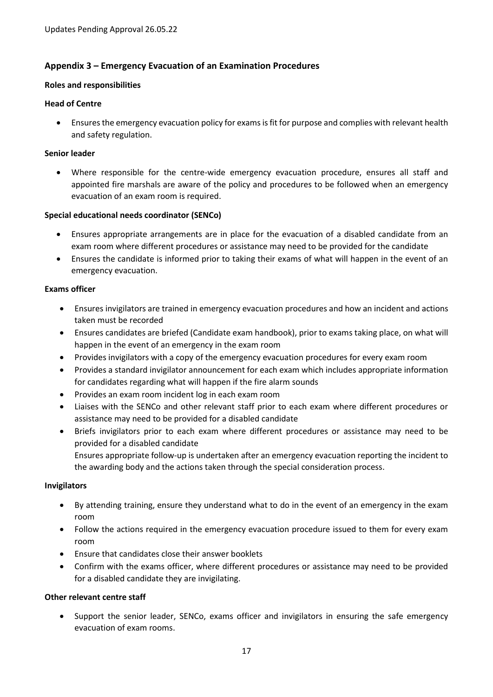# **Appendix 3 – Emergency Evacuation of an Examination Procedures**

#### **Roles and responsibilities**

#### **Head of Centre**

 Ensures the emergency evacuation policy for exams is fit for purpose and complies with relevant health and safety regulation.

#### **Senior leader**

 Where responsible for the centre-wide emergency evacuation procedure, ensures all staff and appointed fire marshals are aware of the policy and procedures to be followed when an emergency evacuation of an exam room is required.

#### **Special educational needs coordinator (SENCo)**

- Ensures appropriate arrangements are in place for the evacuation of a disabled candidate from an exam room where different procedures or assistance may need to be provided for the candidate
- Ensures the candidate is informed prior to taking their exams of what will happen in the event of an emergency evacuation.

#### **Exams officer**

- Ensures invigilators are trained in emergency evacuation procedures and how an incident and actions taken must be recorded
- Ensures candidates are briefed (Candidate exam handbook), prior to exams taking place, on what will happen in the event of an emergency in the exam room
- Provides invigilators with a copy of the emergency evacuation procedures for every exam room
- Provides a standard invigilator announcement for each exam which includes appropriate information for candidates regarding what will happen if the fire alarm sounds
- Provides an exam room incident log in each exam room
- Liaises with the SENCo and other relevant staff prior to each exam where different procedures or assistance may need to be provided for a disabled candidate
- Briefs invigilators prior to each exam where different procedures or assistance may need to be provided for a disabled candidate

Ensures appropriate follow-up is undertaken after an emergency evacuation reporting the incident to the awarding body and the actions taken through the special consideration process.

#### **Invigilators**

- By attending training, ensure they understand what to do in the event of an emergency in the exam room
- Follow the actions required in the emergency evacuation procedure issued to them for every exam room
- Ensure that candidates close their answer booklets
- Confirm with the exams officer, where different procedures or assistance may need to be provided for a disabled candidate they are invigilating.

# **Other relevant centre staff**

 Support the senior leader, SENCo, exams officer and invigilators in ensuring the safe emergency evacuation of exam rooms.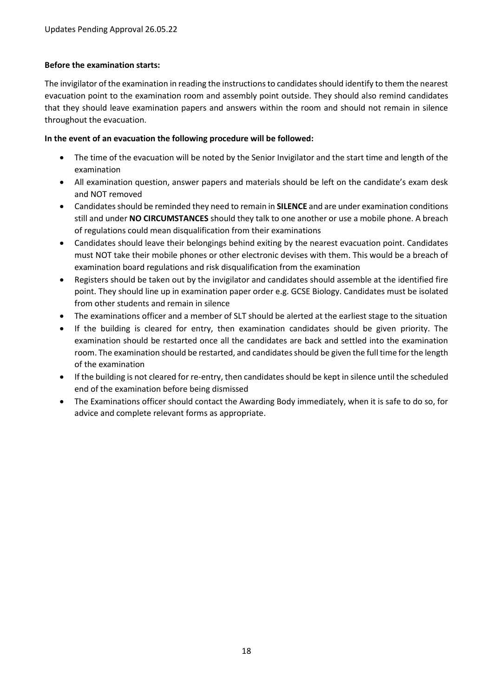# **Before the examination starts:**

The invigilator of the examination in reading the instructions to candidates should identify to them the nearest evacuation point to the examination room and assembly point outside. They should also remind candidates that they should leave examination papers and answers within the room and should not remain in silence throughout the evacuation.

### **In the event of an evacuation the following procedure will be followed:**

- The time of the evacuation will be noted by the Senior Invigilator and the start time and length of the examination
- All examination question, answer papers and materials should be left on the candidate's exam desk and NOT removed
- Candidates should be reminded they need to remain in **SILENCE** and are under examination conditions still and under **NO CIRCUMSTANCES** should they talk to one another or use a mobile phone. A breach of regulations could mean disqualification from their examinations
- Candidates should leave their belongings behind exiting by the nearest evacuation point. Candidates must NOT take their mobile phones or other electronic devises with them. This would be a breach of examination board regulations and risk disqualification from the examination
- Registers should be taken out by the invigilator and candidates should assemble at the identified fire point. They should line up in examination paper order e.g. GCSE Biology. Candidates must be isolated from other students and remain in silence
- The examinations officer and a member of SLT should be alerted at the earliest stage to the situation
- If the building is cleared for entry, then examination candidates should be given priority. The examination should be restarted once all the candidates are back and settled into the examination room. The examination should be restarted, and candidates should be given the full time for the length of the examination
- If the building is not cleared for re-entry, then candidates should be kept in silence until the scheduled end of the examination before being dismissed
- The Examinations officer should contact the Awarding Body immediately, when it is safe to do so, for advice and complete relevant forms as appropriate.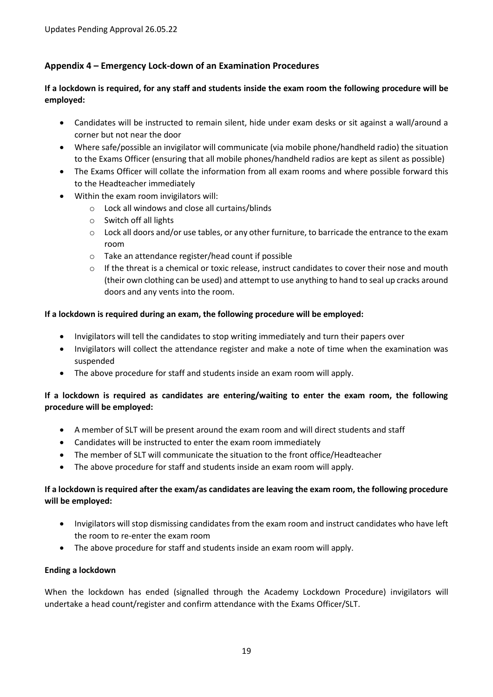# **Appendix 4 – Emergency Lock-down of an Examination Procedures**

# **If a lockdown is required, for any staff and students inside the exam room the following procedure will be employed:**

- Candidates will be instructed to remain silent, hide under exam desks or sit against a wall/around a corner but not near the door
- Where safe/possible an invigilator will communicate (via mobile phone/handheld radio) the situation to the Exams Officer (ensuring that all mobile phones/handheld radios are kept as silent as possible)
- The Exams Officer will collate the information from all exam rooms and where possible forward this to the Headteacher immediately
- Within the exam room invigilators will:
	- o Lock all windows and close all curtains/blinds
	- o Switch off all lights
	- $\circ$  Lock all doors and/or use tables, or any other furniture, to barricade the entrance to the exam room
	- o Take an attendance register/head count if possible
	- $\circ$  If the threat is a chemical or toxic release, instruct candidates to cover their nose and mouth (their own clothing can be used) and attempt to use anything to hand to seal up cracks around doors and any vents into the room.

# **If a lockdown is required during an exam, the following procedure will be employed:**

- Invigilators will tell the candidates to stop writing immediately and turn their papers over
- Invigilators will collect the attendance register and make a note of time when the examination was suspended
- The above procedure for staff and students inside an exam room will apply.

# **If a lockdown is required as candidates are entering/waiting to enter the exam room, the following procedure will be employed:**

- A member of SLT will be present around the exam room and will direct students and staff
- Candidates will be instructed to enter the exam room immediately
- The member of SLT will communicate the situation to the front office/Headteacher
- The above procedure for staff and students inside an exam room will apply.

# **If a lockdown is required after the exam/as candidates are leaving the exam room, the following procedure will be employed:**

- Invigilators will stop dismissing candidates from the exam room and instruct candidates who have left the room to re-enter the exam room
- The above procedure for staff and students inside an exam room will apply.

#### **Ending a lockdown**

When the lockdown has ended (signalled through the Academy Lockdown Procedure) invigilators will undertake a head count/register and confirm attendance with the Exams Officer/SLT.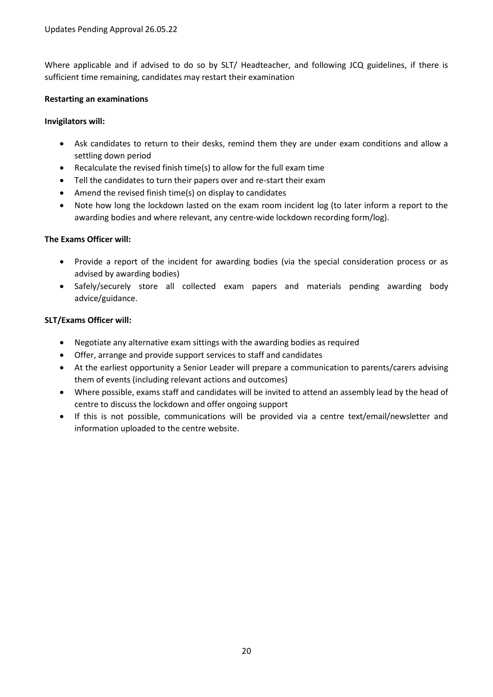Where applicable and if advised to do so by SLT/ Headteacher, and following JCQ guidelines, if there is sufficient time remaining, candidates may restart their examination

# **Restarting an examinations**

# **Invigilators will:**

- Ask candidates to return to their desks, remind them they are under exam conditions and allow a settling down period
- Recalculate the revised finish time(s) to allow for the full exam time
- Tell the candidates to turn their papers over and re-start their exam
- Amend the revised finish time(s) on display to candidates
- Note how long the lockdown lasted on the exam room incident log (to later inform a report to the awarding bodies and where relevant, any centre-wide lockdown recording form/log).

# **The Exams Officer will:**

- Provide a report of the incident for awarding bodies (via the special consideration process or as advised by awarding bodies)
- Safely/securely store all collected exam papers and materials pending awarding body advice/guidance.

# **SLT/Exams Officer will:**

- Negotiate any alternative exam sittings with the awarding bodies as required
- Offer, arrange and provide support services to staff and candidates
- At the earliest opportunity a Senior Leader will prepare a communication to parents/carers advising them of events (including relevant actions and outcomes)
- Where possible, exams staff and candidates will be invited to attend an assembly lead by the head of centre to discuss the lockdown and offer ongoing support
- If this is not possible, communications will be provided via a centre text/email/newsletter and information uploaded to the centre website.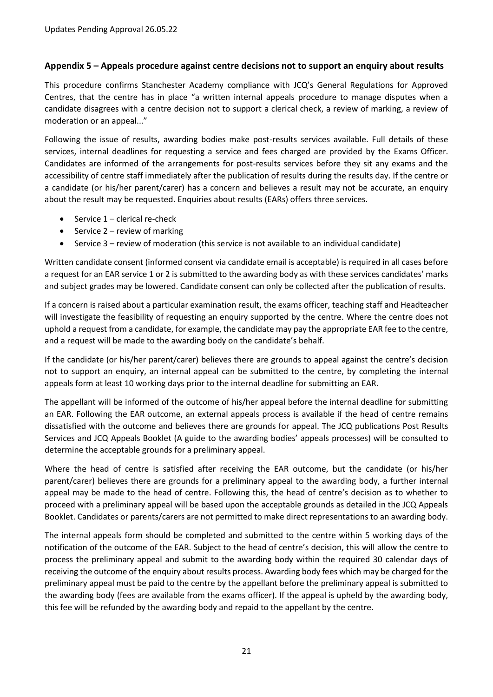# **Appendix 5 – Appeals procedure against centre decisions not to support an enquiry about results**

This procedure confirms Stanchester Academy compliance with JCQ's General Regulations for Approved Centres, that the centre has in place "a written internal appeals procedure to manage disputes when a candidate disagrees with a centre decision not to support a clerical check, a review of marking, a review of moderation or an appeal..."

Following the issue of results, awarding bodies make post-results services available. Full details of these services, internal deadlines for requesting a service and fees charged are provided by the Exams Officer. Candidates are informed of the arrangements for post-results services before they sit any exams and the accessibility of centre staff immediately after the publication of results during the results day. If the centre or a candidate (or his/her parent/carer) has a concern and believes a result may not be accurate, an enquiry about the result may be requested. Enquiries about results (EARs) offers three services.

- $\bullet$  Service 1 clerical re-check
- $\bullet$  Service 2 review of marking
- Service 3 review of moderation (this service is not available to an individual candidate)

Written candidate consent (informed consent via candidate email is acceptable) is required in all cases before a request for an EAR service 1 or 2 is submitted to the awarding body as with these services candidates' marks and subject grades may be lowered. Candidate consent can only be collected after the publication of results.

If a concern is raised about a particular examination result, the exams officer, teaching staff and Headteacher will investigate the feasibility of requesting an enquiry supported by the centre. Where the centre does not uphold a request from a candidate, for example, the candidate may pay the appropriate EAR fee to the centre, and a request will be made to the awarding body on the candidate's behalf.

If the candidate (or his/her parent/carer) believes there are grounds to appeal against the centre's decision not to support an enquiry, an internal appeal can be submitted to the centre, by completing the internal appeals form at least 10 working days prior to the internal deadline for submitting an EAR.

The appellant will be informed of the outcome of his/her appeal before the internal deadline for submitting an EAR. Following the EAR outcome, an external appeals process is available if the head of centre remains dissatisfied with the outcome and believes there are grounds for appeal. The JCQ publications Post Results Services and JCQ Appeals Booklet (A guide to the awarding bodies' appeals processes) will be consulted to determine the acceptable grounds for a preliminary appeal.

Where the head of centre is satisfied after receiving the EAR outcome, but the candidate (or his/her parent/carer) believes there are grounds for a preliminary appeal to the awarding body, a further internal appeal may be made to the head of centre. Following this, the head of centre's decision as to whether to proceed with a preliminary appeal will be based upon the acceptable grounds as detailed in the JCQ Appeals Booklet. Candidates or parents/carers are not permitted to make direct representations to an awarding body.

The internal appeals form should be completed and submitted to the centre within 5 working days of the notification of the outcome of the EAR. Subject to the head of centre's decision, this will allow the centre to process the preliminary appeal and submit to the awarding body within the required 30 calendar days of receiving the outcome of the enquiry about results process. Awarding body fees which may be charged for the preliminary appeal must be paid to the centre by the appellant before the preliminary appeal is submitted to the awarding body (fees are available from the exams officer). If the appeal is upheld by the awarding body, this fee will be refunded by the awarding body and repaid to the appellant by the centre.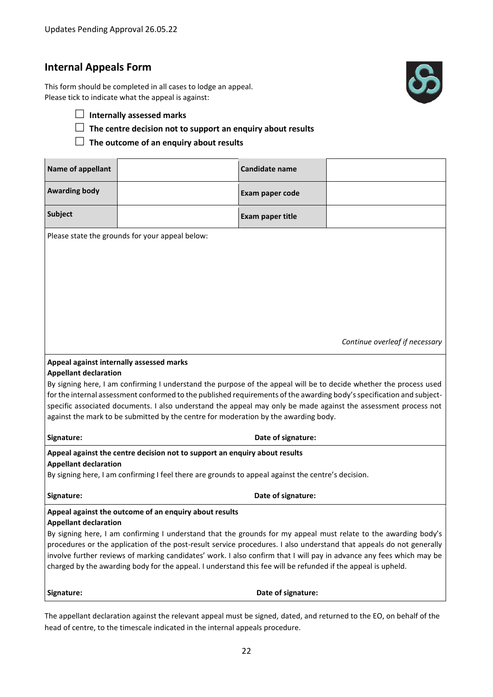# **Internal Appeals Form**

This form should be completed in all cases to lodge an appeal. Please tick to indicate what the appeal is against:



- **Internally assessed marks**
- **The centre decision not to support an enquiry about results**

**The outcome of an enquiry about results**

| Name of appellant                        |                                                                                                                                                                                                                                      | <b>Candidate name</b> |                                |
|------------------------------------------|--------------------------------------------------------------------------------------------------------------------------------------------------------------------------------------------------------------------------------------|-----------------------|--------------------------------|
| <b>Awarding body</b>                     |                                                                                                                                                                                                                                      | Exam paper code       |                                |
| <b>Subject</b>                           |                                                                                                                                                                                                                                      | Exam paper title      |                                |
|                                          | Please state the grounds for your appeal below:                                                                                                                                                                                      |                       |                                |
|                                          |                                                                                                                                                                                                                                      |                       |                                |
|                                          |                                                                                                                                                                                                                                      |                       |                                |
|                                          |                                                                                                                                                                                                                                      |                       |                                |
|                                          |                                                                                                                                                                                                                                      |                       |                                |
|                                          |                                                                                                                                                                                                                                      |                       | Continue overleaf if necessary |
|                                          |                                                                                                                                                                                                                                      |                       |                                |
| Appeal against internally assessed marks |                                                                                                                                                                                                                                      |                       |                                |
| <b>Appellant declaration</b>             | By signing here, I am confirming I understand the purpose of the appeal will be to decide whether the process used                                                                                                                   |                       |                                |
|                                          | for the internal assessment conformed to the published requirements of the awarding body's specification and subject-                                                                                                                |                       |                                |
|                                          | specific associated documents. I also understand the appeal may only be made against the assessment process not                                                                                                                      |                       |                                |
|                                          | against the mark to be submitted by the centre for moderation by the awarding body.                                                                                                                                                  |                       |                                |
| Signature:                               |                                                                                                                                                                                                                                      | Date of signature:    |                                |
| <b>Appellant declaration</b>             | Appeal against the centre decision not to support an enquiry about results                                                                                                                                                           |                       |                                |
|                                          | By signing here, I am confirming I feel there are grounds to appeal against the centre's decision.                                                                                                                                   |                       |                                |
| Signature:                               |                                                                                                                                                                                                                                      | Date of signature:    |                                |
|                                          | Appeal against the outcome of an enquiry about results                                                                                                                                                                               |                       |                                |
| <b>Appellant declaration</b>             |                                                                                                                                                                                                                                      |                       |                                |
|                                          | By signing here, I am confirming I understand that the grounds for my appeal must relate to the awarding body's                                                                                                                      |                       |                                |
|                                          | procedures or the application of the post-result service procedures. I also understand that appeals do not generally                                                                                                                 |                       |                                |
|                                          | involve further reviews of marking candidates' work. I also confirm that I will pay in advance any fees which may be<br>charged by the awarding body for the appeal. I understand this fee will be refunded if the appeal is upheld. |                       |                                |
| Signature:                               |                                                                                                                                                                                                                                      | Date of signature:    |                                |

The appellant declaration against the relevant appeal must be signed, dated, and returned to the EO, on behalf of the head of centre, to the timescale indicated in the internal appeals procedure.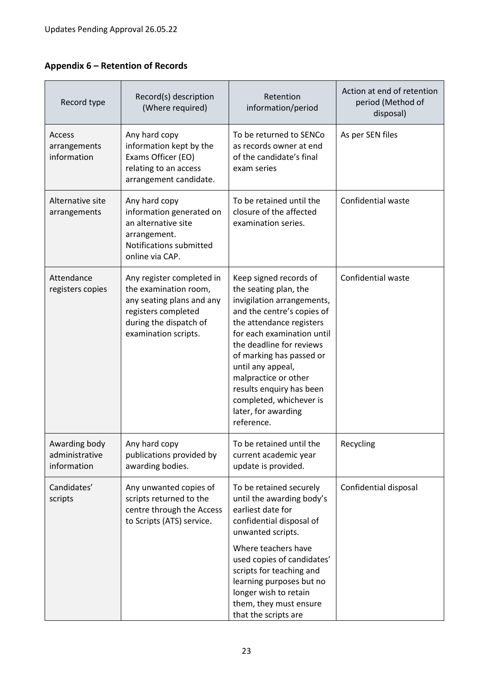# **Appendix 6 – Retention of Records**

| Record type                                    | Record(s) description<br>(Where required)                                                                                                                | Retention<br>information/period                                                                                                                                                                                                                                                                                                                                        | Action at end of retention<br>period (Method of<br>disposal) |
|------------------------------------------------|----------------------------------------------------------------------------------------------------------------------------------------------------------|------------------------------------------------------------------------------------------------------------------------------------------------------------------------------------------------------------------------------------------------------------------------------------------------------------------------------------------------------------------------|--------------------------------------------------------------|
| Access<br>arrangements<br>information          | Any hard copy<br>information kept by the<br>Exams Officer (EO)<br>relating to an access<br>arrangement candidate.                                        | To be returned to SENCo<br>as records owner at end<br>of the candidate's final<br>exam series                                                                                                                                                                                                                                                                          | As per SEN files                                             |
| Alternative site<br>arrangements               | Any hard copy<br>information generated on<br>an alternative site<br>arrangement.<br>Notifications submitted<br>online via CAP.                           | To be retained until the<br>closure of the affected<br>examination series.                                                                                                                                                                                                                                                                                             | Confidential waste                                           |
| Attendance<br>registers copies                 | Any register completed in<br>the examination room,<br>any seating plans and any<br>registers completed<br>during the dispatch of<br>examination scripts. | Keep signed records of<br>the seating plan, the<br>invigilation arrangements,<br>and the centre's copies of<br>the attendance registers<br>for each examination until<br>the deadline for reviews<br>of marking has passed or<br>until any appeal,<br>malpractice or other<br>results enquiry has been<br>completed, whichever is<br>later, for awarding<br>reference. | Confidential waste                                           |
| Awarding body<br>administrative<br>information | Any hard copy<br>publications provided by<br>awarding bodies.                                                                                            | To be retained until the<br>current academic year<br>update is provided.                                                                                                                                                                                                                                                                                               | Recycling                                                    |
| Candidates'<br>scripts                         | Any unwanted copies of<br>scripts returned to the<br>centre through the Access<br>to Scripts (ATS) service.                                              | To be retained securely<br>until the awarding body's<br>earliest date for<br>confidential disposal of<br>unwanted scripts.                                                                                                                                                                                                                                             | Confidential disposal                                        |
|                                                |                                                                                                                                                          | Where teachers have<br>used copies of candidates'<br>scripts for teaching and<br>learning purposes but no<br>longer wish to retain<br>them, they must ensure<br>that the scripts are                                                                                                                                                                                   |                                                              |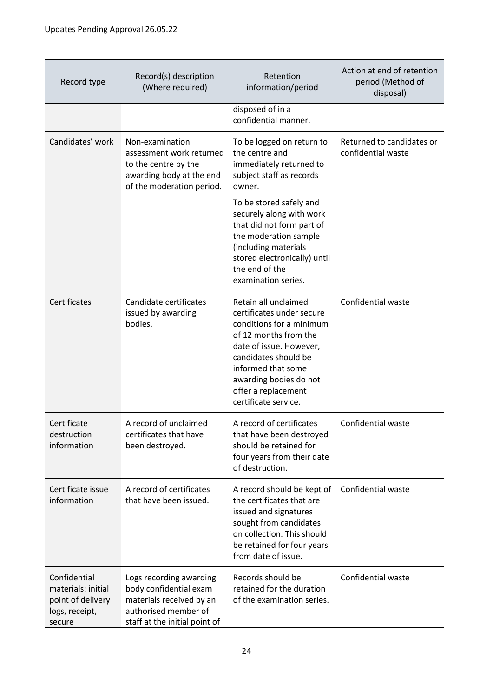| Record type                                                                         | Record(s) description<br>(Where required)                                                                                              | Retention<br>information/period                                                                                                                                                                                                                          | Action at end of retention<br>period (Method of<br>disposal) |
|-------------------------------------------------------------------------------------|----------------------------------------------------------------------------------------------------------------------------------------|----------------------------------------------------------------------------------------------------------------------------------------------------------------------------------------------------------------------------------------------------------|--------------------------------------------------------------|
|                                                                                     |                                                                                                                                        | disposed of in a<br>confidential manner.                                                                                                                                                                                                                 |                                                              |
| Candidates' work                                                                    | Non-examination<br>assessment work returned<br>to the centre by the<br>awarding body at the end<br>of the moderation period.           | To be logged on return to<br>the centre and<br>immediately returned to<br>subject staff as records<br>owner.<br>To be stored safely and                                                                                                                  | Returned to candidates or<br>confidential waste              |
|                                                                                     |                                                                                                                                        | securely along with work<br>that did not form part of<br>the moderation sample<br>(including materials<br>stored electronically) until<br>the end of the<br>examination series.                                                                          |                                                              |
| Certificates                                                                        | Candidate certificates<br>issued by awarding<br>bodies.                                                                                | Retain all unclaimed<br>certificates under secure<br>conditions for a minimum<br>of 12 months from the<br>date of issue. However,<br>candidates should be<br>informed that some<br>awarding bodies do not<br>offer a replacement<br>certificate service. | Confidential waste                                           |
| Certificate<br>destruction<br>information                                           | A record of unclaimed<br>certificates that have<br>been destroyed.                                                                     | A record of certificates<br>that have been destroyed<br>should be retained for<br>four years from their date<br>of destruction.                                                                                                                          | Confidential waste                                           |
| Certificate issue<br>information                                                    | A record of certificates<br>that have been issued.                                                                                     | A record should be kept of<br>the certificates that are<br>issued and signatures<br>sought from candidates<br>on collection. This should<br>be retained for four years<br>from date of issue.                                                            | Confidential waste                                           |
| Confidential<br>materials: initial<br>point of delivery<br>logs, receipt,<br>secure | Logs recording awarding<br>body confidential exam<br>materials received by an<br>authorised member of<br>staff at the initial point of | Records should be<br>retained for the duration<br>of the examination series.                                                                                                                                                                             | Confidential waste                                           |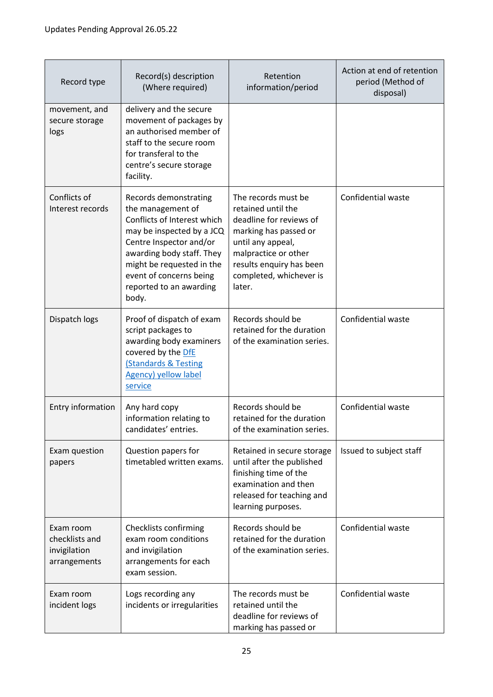| Record type                                                 | Record(s) description<br>(Where required)                                                                                                                                                                                                                  | Retention<br>information/period                                                                                                                                                                             | Action at end of retention<br>period (Method of<br>disposal) |
|-------------------------------------------------------------|------------------------------------------------------------------------------------------------------------------------------------------------------------------------------------------------------------------------------------------------------------|-------------------------------------------------------------------------------------------------------------------------------------------------------------------------------------------------------------|--------------------------------------------------------------|
| movement, and<br>secure storage<br>logs                     | delivery and the secure<br>movement of packages by<br>an authorised member of<br>staff to the secure room<br>for transferal to the<br>centre's secure storage<br>facility.                                                                                 |                                                                                                                                                                                                             |                                                              |
| Conflicts of<br>Interest records                            | Records demonstrating<br>the management of<br>Conflicts of Interest which<br>may be inspected by a JCQ<br>Centre Inspector and/or<br>awarding body staff. They<br>might be requested in the<br>event of concerns being<br>reported to an awarding<br>body. | The records must be<br>retained until the<br>deadline for reviews of<br>marking has passed or<br>until any appeal,<br>malpractice or other<br>results enquiry has been<br>completed, whichever is<br>later. | Confidential waste                                           |
| Dispatch logs                                               | Proof of dispatch of exam<br>script packages to<br>awarding body examiners<br>covered by the DfE<br><b>(Standards &amp; Testing</b><br><b>Agency) yellow label</b><br>service                                                                              | Records should be<br>retained for the duration<br>of the examination series.                                                                                                                                | Confidential waste                                           |
| Entry information                                           | Any hard copy<br>information relating to<br>candidates' entries.                                                                                                                                                                                           | Records should be<br>retained for the duration<br>of the examination series.                                                                                                                                | Confidential waste                                           |
| Exam question<br>papers                                     | Question papers for<br>timetabled written exams.                                                                                                                                                                                                           | Retained in secure storage<br>until after the published<br>finishing time of the<br>examination and then<br>released for teaching and<br>learning purposes.                                                 | Issued to subject staff                                      |
| Exam room<br>checklists and<br>invigilation<br>arrangements | Checklists confirming<br>exam room conditions<br>and invigilation<br>arrangements for each<br>exam session.                                                                                                                                                | Records should be<br>retained for the duration<br>of the examination series.                                                                                                                                | Confidential waste                                           |
| Exam room<br>incident logs                                  | Logs recording any<br>incidents or irregularities                                                                                                                                                                                                          | The records must be<br>retained until the<br>deadline for reviews of<br>marking has passed or                                                                                                               | Confidential waste                                           |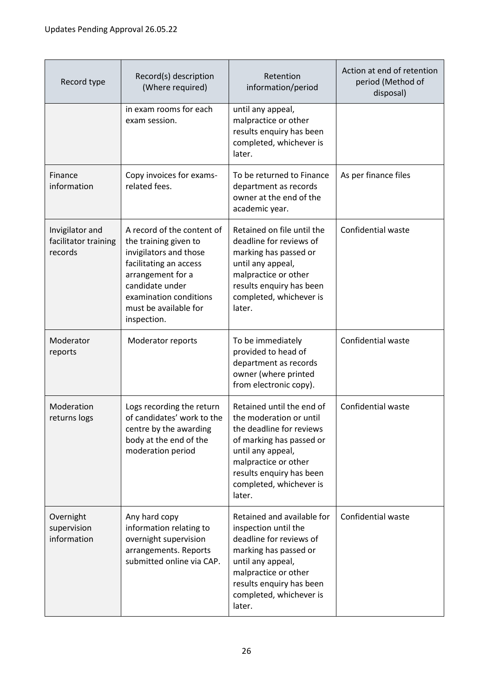| Record type                                        | Record(s) description<br>(Where required)                                                                                                                                                                         | Retention<br>information/period                                                                                                                                                                                            | Action at end of retention<br>period (Method of<br>disposal) |
|----------------------------------------------------|-------------------------------------------------------------------------------------------------------------------------------------------------------------------------------------------------------------------|----------------------------------------------------------------------------------------------------------------------------------------------------------------------------------------------------------------------------|--------------------------------------------------------------|
|                                                    | in exam rooms for each<br>exam session.                                                                                                                                                                           | until any appeal,<br>malpractice or other<br>results enquiry has been<br>completed, whichever is<br>later.                                                                                                                 |                                                              |
| Finance<br>information                             | Copy invoices for exams-<br>related fees.                                                                                                                                                                         | To be returned to Finance<br>department as records<br>owner at the end of the<br>academic year.                                                                                                                            | As per finance files                                         |
| Invigilator and<br>facilitator training<br>records | A record of the content of<br>the training given to<br>invigilators and those<br>facilitating an access<br>arrangement for a<br>candidate under<br>examination conditions<br>must be available for<br>inspection. | Retained on file until the<br>deadline for reviews of<br>marking has passed or<br>until any appeal,<br>malpractice or other<br>results enquiry has been<br>completed, whichever is<br>later.                               | Confidential waste                                           |
| Moderator<br>reports                               | Moderator reports                                                                                                                                                                                                 | To be immediately<br>provided to head of<br>department as records<br>owner (where printed<br>from electronic copy).                                                                                                        | Confidential waste                                           |
| Moderation<br>returns logs                         | Logs recording the return<br>of candidates' work to the<br>centre by the awarding<br>body at the end of the<br>moderation period                                                                                  | Retained until the end of<br>the moderation or until<br>the deadline for reviews<br>of marking has passed or<br>until any appeal,<br>malpractice or other<br>results enquiry has been<br>completed, whichever is<br>later. | Confidential waste                                           |
| Overnight<br>supervision<br>information            | Any hard copy<br>information relating to<br>overnight supervision<br>arrangements. Reports<br>submitted online via CAP.                                                                                           | Retained and available for<br>inspection until the<br>deadline for reviews of<br>marking has passed or<br>until any appeal,<br>malpractice or other<br>results enquiry has been<br>completed, whichever is<br>later.       | Confidential waste                                           |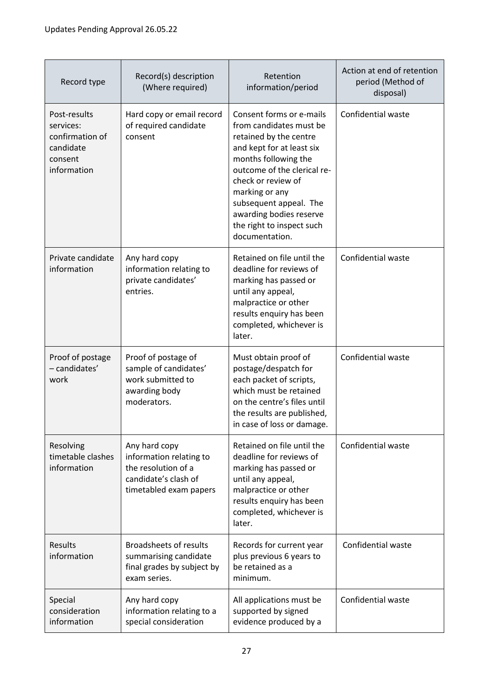| Record type                                                                         | Record(s) description<br>(Where required)                                                                         | Retention<br>information/period                                                                                                                                                                                                                                                                               | Action at end of retention<br>period (Method of<br>disposal) |
|-------------------------------------------------------------------------------------|-------------------------------------------------------------------------------------------------------------------|---------------------------------------------------------------------------------------------------------------------------------------------------------------------------------------------------------------------------------------------------------------------------------------------------------------|--------------------------------------------------------------|
| Post-results<br>services:<br>confirmation of<br>candidate<br>consent<br>information | Hard copy or email record<br>of required candidate<br>consent                                                     | Consent forms or e-mails<br>from candidates must be<br>retained by the centre<br>and kept for at least six<br>months following the<br>outcome of the clerical re-<br>check or review of<br>marking or any<br>subsequent appeal. The<br>awarding bodies reserve<br>the right to inspect such<br>documentation. | Confidential waste                                           |
| Private candidate<br>information                                                    | Any hard copy<br>information relating to<br>private candidates'<br>entries.                                       | Retained on file until the<br>deadline for reviews of<br>marking has passed or<br>until any appeal,<br>malpractice or other<br>results enquiry has been<br>completed, whichever is<br>later.                                                                                                                  | Confidential waste                                           |
| Proof of postage<br>- candidates'<br>work                                           | Proof of postage of<br>sample of candidates'<br>work submitted to<br>awarding body<br>moderators.                 | Must obtain proof of<br>postage/despatch for<br>each packet of scripts,<br>which must be retained<br>on the centre's files until<br>the results are published,<br>in case of loss or damage.                                                                                                                  | Confidential waste                                           |
| Resolving<br>timetable clashes<br>information                                       | Any hard copy<br>information relating to<br>the resolution of a<br>candidate's clash of<br>timetabled exam papers | Retained on file until the<br>deadline for reviews of<br>marking has passed or<br>until any appeal,<br>malpractice or other<br>results enquiry has been<br>completed, whichever is<br>later.                                                                                                                  | Confidential waste                                           |
| <b>Results</b><br>information                                                       | <b>Broadsheets of results</b><br>summarising candidate<br>final grades by subject by<br>exam series.              | Records for current year<br>plus previous 6 years to<br>be retained as a<br>minimum.                                                                                                                                                                                                                          | Confidential waste                                           |
| Special<br>consideration<br>information                                             | Any hard copy<br>information relating to a<br>special consideration                                               | All applications must be<br>supported by signed<br>evidence produced by a                                                                                                                                                                                                                                     | Confidential waste                                           |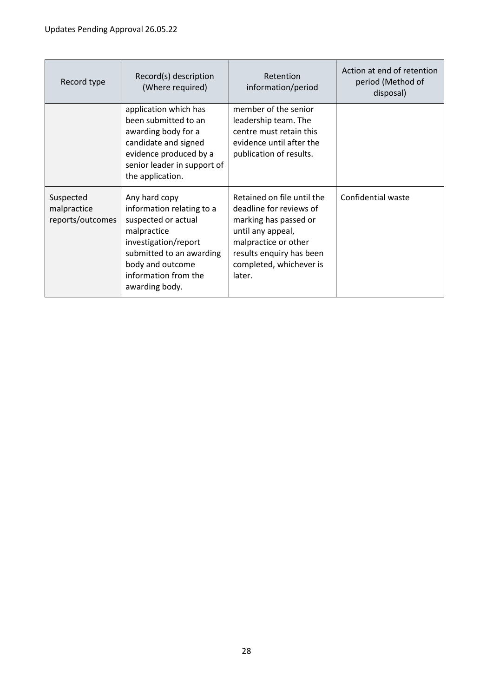| Record type                                  | Record(s) description<br>(Where required)                                                                                                                                                          | Retention<br>information/period                                                                                                                                                              | Action at end of retention<br>period (Method of<br>disposal) |
|----------------------------------------------|----------------------------------------------------------------------------------------------------------------------------------------------------------------------------------------------------|----------------------------------------------------------------------------------------------------------------------------------------------------------------------------------------------|--------------------------------------------------------------|
|                                              | application which has<br>been submitted to an<br>awarding body for a<br>candidate and signed<br>evidence produced by a<br>senior leader in support of<br>the application.                          | member of the senior<br>leadership team. The<br>centre must retain this<br>evidence until after the<br>publication of results.                                                               |                                                              |
| Suspected<br>malpractice<br>reports/outcomes | Any hard copy<br>information relating to a<br>suspected or actual<br>malpractice<br>investigation/report<br>submitted to an awarding<br>body and outcome<br>information from the<br>awarding body. | Retained on file until the<br>deadline for reviews of<br>marking has passed or<br>until any appeal,<br>malpractice or other<br>results enquiry has been<br>completed, whichever is<br>later. | Confidential waste                                           |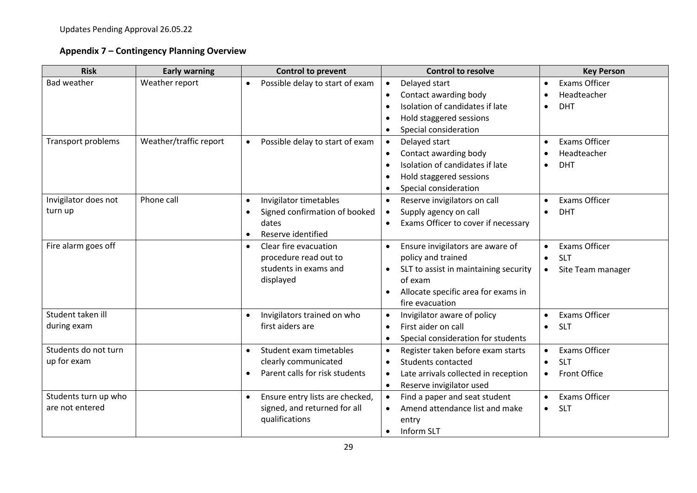# **Appendix 7 – Contingency Planning Overview**

| <b>Risk</b>               | <b>Early warning</b>   | <b>Control to prevent</b>                    | <b>Control to resolve</b>                          | <b>Key Person</b>                 |
|---------------------------|------------------------|----------------------------------------------|----------------------------------------------------|-----------------------------------|
| <b>Bad weather</b>        | Weather report         | Possible delay to start of exam<br>$\bullet$ | Delayed start<br>$\bullet$                         | <b>Exams Officer</b><br>$\bullet$ |
|                           |                        |                                              | Contact awarding body<br>$\bullet$                 | Headteacher                       |
|                           |                        |                                              | Isolation of candidates if late<br>$\bullet$       | <b>DHT</b><br>$\bullet$           |
|                           |                        |                                              | Hold staggered sessions<br>$\bullet$               |                                   |
|                           |                        |                                              | Special consideration<br>$\bullet$                 |                                   |
| <b>Transport problems</b> | Weather/traffic report | Possible delay to start of exam<br>$\bullet$ | Delayed start<br>$\bullet$                         | <b>Exams Officer</b><br>$\bullet$ |
|                           |                        |                                              | Contact awarding body<br>$\bullet$                 | Headteacher<br>$\bullet$          |
|                           |                        |                                              | Isolation of candidates if late                    | <b>DHT</b><br>$\bullet$           |
|                           |                        |                                              | Hold staggered sessions<br>$\bullet$               |                                   |
|                           |                        |                                              | Special consideration<br>$\bullet$                 |                                   |
| Invigilator does not      | Phone call             | Invigilator timetables<br>$\bullet$          | Reserve invigilators on call<br>$\bullet$          | <b>Exams Officer</b><br>$\bullet$ |
| turn up                   |                        | Signed confirmation of booked<br>$\bullet$   | Supply agency on call                              | <b>DHT</b><br>$\bullet$           |
|                           |                        | dates                                        | Exams Officer to cover if necessary                |                                   |
|                           |                        | Reserve identified<br>$\bullet$              |                                                    |                                   |
| Fire alarm goes off       |                        | Clear fire evacuation<br>$\bullet$           | Ensure invigilators are aware of<br>$\bullet$      | <b>Exams Officer</b><br>$\bullet$ |
|                           |                        | procedure read out to                        | policy and trained                                 | <b>SLT</b><br>$\bullet$           |
|                           |                        | students in exams and                        | SLT to assist in maintaining security<br>$\bullet$ | Site Team manager<br>$\bullet$    |
|                           |                        | displayed                                    | of exam                                            |                                   |
|                           |                        |                                              | Allocate specific area for exams in<br>$\bullet$   |                                   |
|                           |                        |                                              | fire evacuation                                    |                                   |
| Student taken ill         |                        | Invigilators trained on who<br>$\bullet$     | Invigilator aware of policy                        | <b>Exams Officer</b><br>$\bullet$ |
| during exam               |                        | first aiders are                             | First aider on call<br>$\bullet$                   | <b>SLT</b><br>$\bullet$           |
|                           |                        |                                              | Special consideration for students<br>$\bullet$    |                                   |
| Students do not turn      |                        | Student exam timetables<br>$\bullet$         | Register taken before exam starts<br>$\bullet$     | <b>Exams Officer</b><br>$\bullet$ |
| up for exam               |                        | clearly communicated                         | <b>Students contacted</b><br>$\bullet$             | <b>SLT</b><br>$\bullet$           |
|                           |                        | Parent calls for risk students               | Late arrivals collected in reception<br>$\bullet$  | Front Office<br>$\bullet$         |
|                           |                        |                                              | Reserve invigilator used<br>$\bullet$              |                                   |
| Students turn up who      |                        | Ensure entry lists are checked,<br>$\bullet$ | Find a paper and seat student<br>$\bullet$         | <b>Exams Officer</b><br>$\bullet$ |
| are not entered           |                        | signed, and returned for all                 | Amend attendance list and make                     | <b>SLT</b><br>$\bullet$           |
|                           |                        | qualifications                               | entry                                              |                                   |
|                           |                        |                                              | Inform SLT<br>$\bullet$                            |                                   |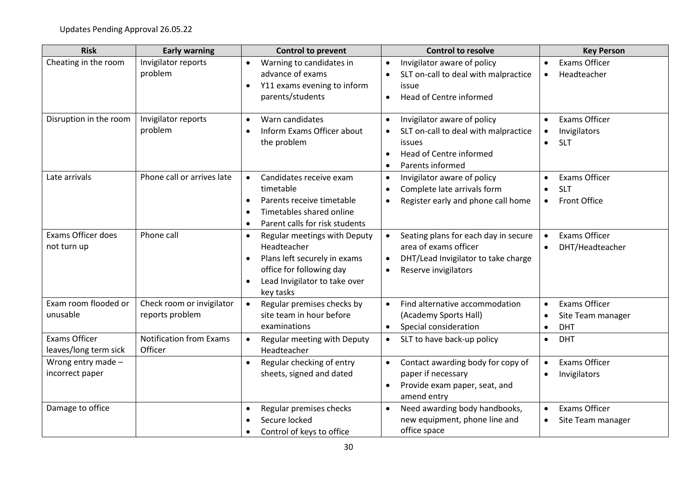| <b>Risk</b>                                   | <b>Early warning</b>                         | <b>Control to prevent</b>                                                                                                                                                                    | <b>Control to resolve</b>                                                                                                                 | <b>Key Person</b>                                                                         |
|-----------------------------------------------|----------------------------------------------|----------------------------------------------------------------------------------------------------------------------------------------------------------------------------------------------|-------------------------------------------------------------------------------------------------------------------------------------------|-------------------------------------------------------------------------------------------|
| Cheating in the room                          | Invigilator reports<br>problem               | Warning to candidates in<br>$\bullet$<br>advance of exams<br>Y11 exams evening to inform<br>$\bullet$<br>parents/students                                                                    | Invigilator aware of policy<br>$\bullet$<br>SLT on-call to deal with malpractice<br>issue<br>Head of Centre informed<br>$\bullet$         | <b>Exams Officer</b><br>$\bullet$<br>Headteacher<br>$\bullet$                             |
| Disruption in the room                        | Invigilator reports<br>problem               | Warn candidates<br>$\bullet$<br>Inform Exams Officer about<br>$\bullet$<br>the problem                                                                                                       | Invigilator aware of policy<br>SLT on-call to deal with malpractice<br>issues<br>Head of Centre informed<br>$\bullet$<br>Parents informed | <b>Exams Officer</b><br>$\bullet$<br>Invigilators<br>$\bullet$<br><b>SLT</b><br>$\bullet$ |
| Late arrivals                                 | Phone call or arrives late                   | Candidates receive exam<br>$\bullet$<br>timetable<br>Parents receive timetable<br>$\bullet$<br>Timetables shared online<br>$\bullet$<br>Parent calls for risk students<br>$\bullet$          | Invigilator aware of policy<br>$\bullet$<br>Complete late arrivals form<br>Register early and phone call home                             | <b>Exams Officer</b><br><b>SLT</b><br>$\bullet$<br>Front Office<br>$\bullet$              |
| Exams Officer does<br>not turn up             | Phone call                                   | Regular meetings with Deputy<br>$\bullet$<br>Headteacher<br>Plans left securely in exams<br>$\bullet$<br>office for following day<br>Lead Invigilator to take over<br>$\bullet$<br>key tasks | Seating plans for each day in secure<br>$\bullet$<br>area of exams officer<br>DHT/Lead Invigilator to take charge<br>Reserve invigilators | <b>Exams Officer</b><br>$\bullet$<br>DHT/Headteacher                                      |
| Exam room flooded or<br>unusable              | Check room or invigilator<br>reports problem | Regular premises checks by<br>site team in hour before<br>examinations                                                                                                                       | Find alternative accommodation<br>$\bullet$<br>(Academy Sports Hall)<br>Special consideration<br>$\bullet$                                | <b>Exams Officer</b><br>$\bullet$<br>Site Team manager<br><b>DHT</b><br>$\bullet$         |
| <b>Exams Officer</b><br>leaves/long term sick | <b>Notification from Exams</b><br>Officer    | Regular meeting with Deputy<br>Headteacher                                                                                                                                                   | SLT to have back-up policy<br>$\bullet$                                                                                                   | <b>DHT</b><br>$\bullet$                                                                   |
| Wrong entry made -<br>incorrect paper         |                                              | Regular checking of entry<br>$\bullet$<br>sheets, signed and dated                                                                                                                           | Contact awarding body for copy of<br>paper if necessary<br>Provide exam paper, seat, and<br>amend entry                                   | <b>Exams Officer</b><br>$\bullet$<br>Invigilators                                         |
| Damage to office                              |                                              | Regular premises checks<br>$\bullet$<br>Secure locked<br>$\bullet$<br>Control of keys to office                                                                                              | Need awarding body handbooks,<br>new equipment, phone line and<br>office space                                                            | <b>Exams Officer</b><br>Site Team manager<br>$\bullet$                                    |